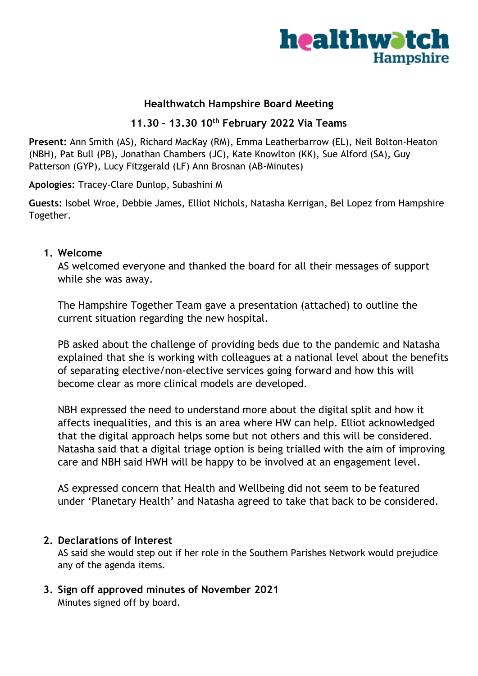

## **Healthwatch Hampshire Board Meeting**

### **11.30 – 13.30 10th February 2022 Via Teams**

**Present:** Ann Smith (AS), Richard MacKay (RM), Emma Leatherbarrow (EL), Neil Bolton-Heaton (NBH), Pat Bull (PB), Jonathan Chambers (JC), Kate Knowlton (KK), Sue Alford (SA), Guy Patterson (GYP), Lucy Fitzgerald (LF) Ann Brosnan (AB-Minutes)

**Apologies:** Tracey-Clare Dunlop, Subashini M

**Guests:** Isobel Wroe, Debbie James, Elliot Nichols, Natasha Kerrigan, Bel Lopez from Hampshire Together.

#### **1. Welcome**

AS welcomed everyone and thanked the board for all their messages of support while she was away.

The Hampshire Together Team gave a presentation (attached) to outline the current situation regarding the new hospital.

PB asked about the challenge of providing beds due to the pandemic and Natasha explained that she is working with colleagues at a national level about the benefits of separating elective/non-elective services going forward and how this will become clear as more clinical models are developed.

NBH expressed the need to understand more about the digital split and how it affects inequalities, and this is an area where HW can help. Elliot acknowledged that the digital approach helps some but not others and this will be considered. Natasha said that a digital triage option is being trialled with the aim of improving care and NBH said HWH will be happy to be involved at an engagement level.

AS expressed concern that Health and Wellbeing did not seem to be featured under 'Planetary Health' and Natasha agreed to take that back to be considered.

#### **2. Declarations of Interest**

AS said she would step out if her role in the Southern Parishes Network would prejudice any of the agenda items.

**3. Sign off approved minutes of November 2021** Minutes signed off by board.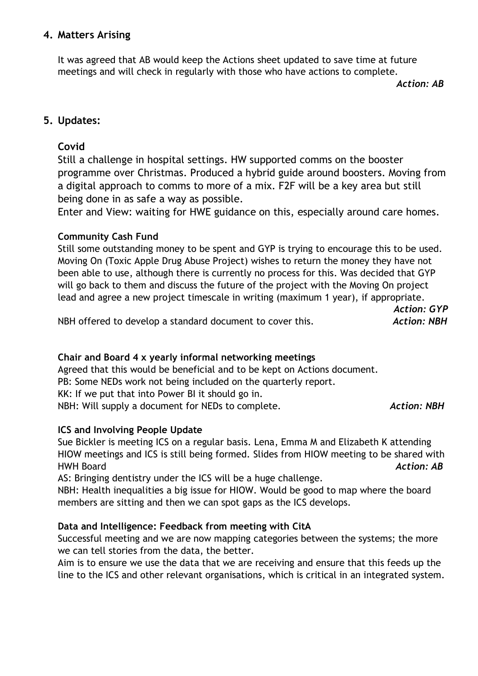## **4. Matters Arising**

It was agreed that AB would keep the Actions sheet updated to save time at future meetings and will check in regularly with those who have actions to complete.

*Action: AB*

*Action: GYP*

## **5. Updates:**

## **Covid**

Still a challenge in hospital settings. HW supported comms on the booster programme over Christmas. Produced a hybrid guide around boosters. Moving from a digital approach to comms to more of a mix. F2F will be a key area but still being done in as safe a way as possible.

Enter and View: waiting for HWE guidance on this, especially around care homes.

## **Community Cash Fund**

Still some outstanding money to be spent and GYP is trying to encourage this to be used. Moving On (Toxic Apple Drug Abuse Project) wishes to return the money they have not been able to use, although there is currently no process for this. Was decided that GYP will go back to them and discuss the future of the project with the Moving On project lead and agree a new project timescale in writing (maximum 1 year), if appropriate.

NBH offered to develop a standard document to cover this. *Action: NBH*

# **Chair and Board 4 x yearly informal networking meetings**

Agreed that this would be beneficial and to be kept on Actions document. PB: Some NEDs work not being included on the quarterly report. KK: If we put that into Power BI it should go in. NBH: Will supply a document for NEDs to complete. *Action: NBH*

#### **ICS and Involving People Update**

Sue Bickler is meeting ICS on a regular basis. Lena, Emma M and Elizabeth K attending HIOW meetings and ICS is still being formed. Slides from HIOW meeting to be shared with HWH Board *Action: AB*

AS: Bringing dentistry under the ICS will be a huge challenge.

NBH: Health inequalities a big issue for HIOW. Would be good to map where the board members are sitting and then we can spot gaps as the ICS develops.

#### **Data and Intelligence: Feedback from meeting with CitA**

Successful meeting and we are now mapping categories between the systems; the more we can tell stories from the data, the better.

Aim is to ensure we use the data that we are receiving and ensure that this feeds up the line to the ICS and other relevant organisations, which is critical in an integrated system.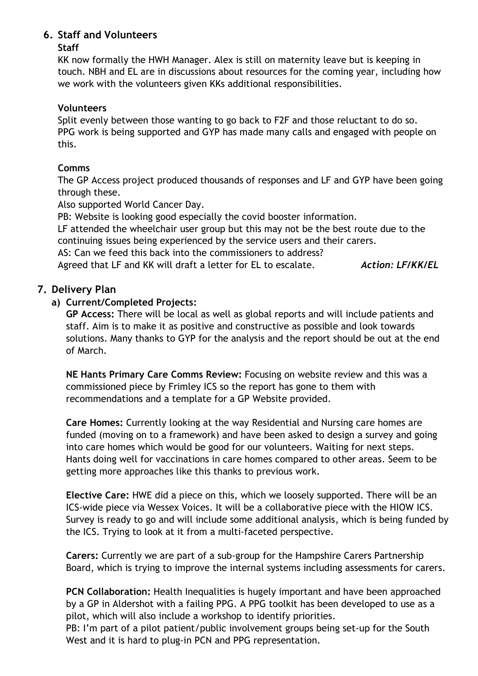# **6. Staff and Volunteers**

## **Staff**

KK now formally the HWH Manager. Alex is still on maternity leave but is keeping in touch. NBH and EL are in discussions about resources for the coming year, including how we work with the volunteers given KKs additional responsibilities.

## **Volunteers**

Split evenly between those wanting to go back to F2F and those reluctant to do so. PPG work is being supported and GYP has made many calls and engaged with people on this.

# **Comms**

The GP Access project produced thousands of responses and LF and GYP have been going through these.

Also supported World Cancer Day.

PB: Website is looking good especially the covid booster information.

LF attended the wheelchair user group but this may not be the best route due to the continuing issues being experienced by the service users and their carers.

AS: Can we feed this back into the commissioners to address?

Agreed that LF and KK will draft a letter for EL to escalate. *Action: LF/KK/EL*

# **7. Delivery Plan**

# **a) Current/Completed Projects:**

**GP Access:** There will be local as well as global reports and will include patients and staff. Aim is to make it as positive and constructive as possible and look towards solutions. Many thanks to GYP for the analysis and the report should be out at the end of March.

**NE Hants Primary Care Comms Review:** Focusing on website review and this was a commissioned piece by Frimley ICS so the report has gone to them with recommendations and a template for a GP Website provided.

**Care Homes:** Currently looking at the way Residential and Nursing care homes are funded (moving on to a framework) and have been asked to design a survey and going into care homes which would be good for our volunteers. Waiting for next steps. Hants doing well for vaccinations in care homes compared to other areas. Seem to be getting more approaches like this thanks to previous work.

**Elective Care:** HWE did a piece on this, which we loosely supported. There will be an ICS-wide piece via Wessex Voices. It will be a collaborative piece with the HIOW ICS. Survey is ready to go and will include some additional analysis, which is being funded by the ICS. Trying to look at it from a multi-faceted perspective.

**Carers:** Currently we are part of a sub-group for the Hampshire Carers Partnership Board, which is trying to improve the internal systems including assessments for carers.

**PCN Collaboration:** Health Inequalities is hugely important and have been approached by a GP in Aldershot with a failing PPG. A PPG toolkit has been developed to use as a pilot, which will also include a workshop to identify priorities.

PB: I'm part of a pilot patient/public involvement groups being set-up for the South West and it is hard to plug-in PCN and PPG representation.